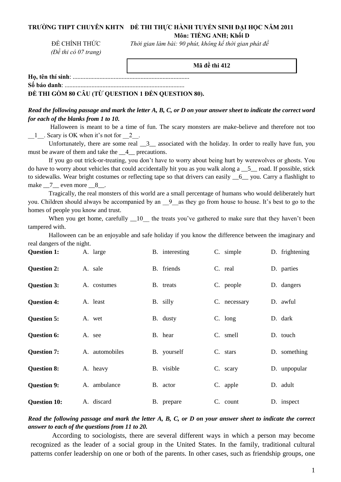### **TRƯỜNG THPT CHUYÊN KHTN ĐỀ THI THỰC HÀNH TUYỂN SINH ĐẠI HỌC NĂM 2011 Môn: TIẾNG ANH; Khối D**

*Thời gian làm bài: 90 phút, không kể thời gian phát đề* 

ĐỀ CHÍNH THỨC *(Đề thi có 07 trang)*

**Mã đề thi 412**

**Họ, tên thí sinh**: ..........................................................................

**Số báo danh**: ............................................................................

**ĐỀ THI GỒM 80 CÂU (TỪ QUESTION 1 ĐẾN QUESTION 80).** 

*Read the following passage and mark the letter A, B, C, or D on your answer sheet to indicate the correct word for each of the blanks from 1 to 10.*

Halloween is meant to be a time of fun. The scary monsters are make-believe and therefore not too  $\frac{1}{2}$ . Scary is OK when it's not for  $\frac{2}{2}$ .

Unfortunately, there are some real  $\frac{3}{2}$  associated with the holiday. In order to really have fun, you must be aware of them and take the  $\_\_4\_\$  precautions.

If you go out trick-or-treating, you don't have to worry about being hurt by werewolves or ghosts. You do have to worry about vehicles that could accidentally hit you as you walk along a  $\overline{5}$  road. If possible, stick to sidewalks. Wear bright costumes or reflecting tape so that drivers can easily \_\_6\_\_ you. Carry a flashlight to make 7 even more 8.

Tragically, the real monsters of this world are a small percentage of humans who would deliberately hurt you. Children should always be accompanied by an  $-9$  as they go from house to house. It's best to go to the homes of people you know and trust.

When you get home, carefully  $\_\_10$  the treats you've gathered to make sure that they haven't been tampered with.

Halloween can be an enjoyable and safe holiday if you know the difference between the imaginary and real dangers of the night.

| <b>Question 1:</b>  | A. large       | B. interesting | C. simple    | D. frightening |
|---------------------|----------------|----------------|--------------|----------------|
| <b>Question 2:</b>  | A. sale        | B. friends     | C. real      | D. parties     |
| <b>Question 3:</b>  | A. costumes    | B. treats      | C. people    | D. dangers     |
| <b>Question 4:</b>  | A. least       | B. silly       | C. necessary | D. awful       |
| <b>Question 5:</b>  | A. wet         | B. dusty       | $C.$ long    | D. dark        |
| <b>Question 6:</b>  | A. see         | B. hear        | C. smell     | D. touch       |
| <b>Question 7:</b>  | A. automobiles | B. yourself    | C. stars     | D. something   |
| <b>Question 8:</b>  | A. heavy       | B. visible     | C. scary     | D. unpopular   |
| <b>Question 9:</b>  | A. ambulance   | B. actor       | C. apple     | D. adult       |
| <b>Question 10:</b> | A. discard     | B. prepare     | C. count     | D. inspect     |

# *Read the following passage and mark the letter A, B, C, or D on your answer sheet to indicate the correct answer to each of the questions from 11 to 20.*

According to sociologists, there are several different ways in which a person may become recognized as the leader of a social group in the United States. In the family, traditional cultural patterns confer leadership on one or both of the parents. In other cases, such as friendship groups, one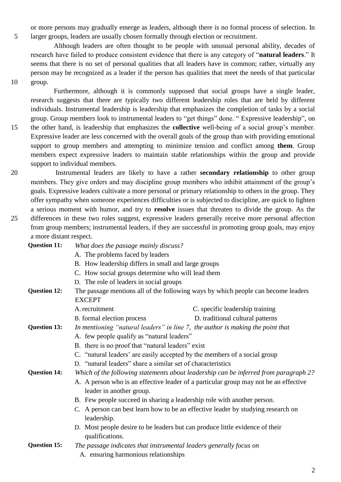or more persons may gradually emerge as leaders, although there is no formal process of selection. In 5 larger groups, leaders are usually chosen formally through election or recruitment.

 Although leaders are often thought to be people with unusual personal ability, decades of research have failed to produce consistent evidence that there is any category of "**natural leaders**." It seems that there is no set of personal qualities that all leaders have in common; rather, virtually any person may be recognized as a leader if the person has qualities that meet the needs of that particular 10 group.

 Furthermore, although it is commonly supposed that social groups have a single leader, research suggests that there are typically two different leadership roles that are held by different individuals. Instrumental leadership is leadership that emphasizes the completion of tasks by a social group. Group members look to instrumental leaders to "get things" done. " Expressive leadership", on 15 the other hand, is leadership that emphasizes the **collective** well-being of a social group's member. Expressive leader are less concerned with the overall goals of the group than with providing emotional support to group members and attempting to minimize tension and conflict among **them**. Group members expect expressive leaders to maintain stable relationships within the group and provide support to individual members.

20 Instrumental leaders are likely to have a rather **secondary relationship** to other group members. They give orders and may discipline group members who inhibit attainment of the group's goals. Expressive leaders cultivate a more personal or primary relationship to others in the group. They offer sympathy when someone experiences difficulties or is subjected to discipline, are quick to lighten a serious moment with humor, and try to **resolve** issues that threaten to divide the group. As the 25 differences in these two roles suggest, expressive leaders generally receive more personal affection from group members; instrumental leaders, if they are successful in promoting group goals, may enjoy a more distant respect.

| Question 11: | What does the passage mainly discuss? |  |
|--------------|---------------------------------------|--|
|--------------|---------------------------------------|--|

- A. The problems faced by leaders
- B. How leadership differs in small and large groups
- C. How social groups determine who will lead them
- D. The role of leaders in social groups
- **Question 12:** The passage mentions all of the following ways by which people can become leaders EXCEPT
	- A.recruitment C. specific leadership training
	- B. formal election process D. traditional cultural patterns
- **Question 13:** *In mentioning "natural leaders" in line 7, the author is making the point that*
	- A. few people qualify as "natural leaders"
	- B. there is no proof that "natural leaders" exist
	- C. "natural leaders' are easily accepted by the members of a social group
	- D. "natural leaders" share a similar set of characteristics

**Question 14:** *Which of the following statements about leadership can be inferred from paragraph 2?*

- A. A person who is an effective leader of a particular group may not be an effective leader in another group.
- B. Few people succeed in sharing a leadership role with another person.
- C. A person can best learn how to be an effective leader by studying research on leadership.
- D. Most people desire to be leaders but can produce little evidence of their qualifications.
- **Question 15:** *The passage indicates that instrumental leaders generally focus on*
	- A. ensuring harmonious relationships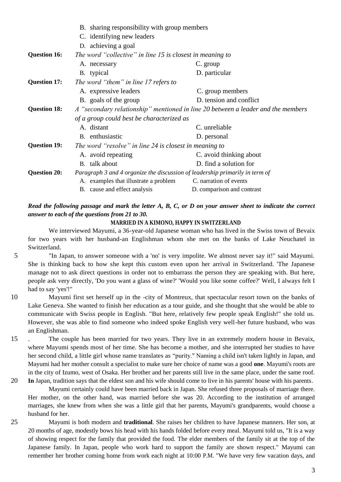|                     | B. sharing responsibility with group members                                 |                                                                                  |  |  |
|---------------------|------------------------------------------------------------------------------|----------------------------------------------------------------------------------|--|--|
|                     | C. identifying new leaders                                                   |                                                                                  |  |  |
|                     | D. achieving a goal                                                          |                                                                                  |  |  |
| <b>Question 16:</b> | The word "collective" in line 15 is closest in meaning to                    |                                                                                  |  |  |
|                     | A. necessary                                                                 | C. group                                                                         |  |  |
|                     | B. typical                                                                   | D. particular                                                                    |  |  |
| <b>Question 17:</b> | The word "them" in line 17 refers to                                         |                                                                                  |  |  |
|                     | A. expressive leaders                                                        | C. group members                                                                 |  |  |
|                     | B. goals of the group                                                        | D. tension and conflict                                                          |  |  |
| <b>Question 18:</b> |                                                                              | A "secondary relationship" mentioned in line 20 between a leader and the members |  |  |
|                     | of a group could best be characterized as                                    |                                                                                  |  |  |
|                     | A. distant                                                                   | C. unreliable                                                                    |  |  |
|                     | B. enthusiastic                                                              | D. personal                                                                      |  |  |
| <b>Question 19:</b> | The word "resolve" in line 24 is closest in meaning to                       |                                                                                  |  |  |
|                     | A. avoid repeating                                                           | C. avoid thinking about                                                          |  |  |
|                     | B. talk about                                                                | D. find a solution for                                                           |  |  |
| <b>Question 20:</b> | Paragraph 3 and 4 organize the discussion of leadership primarily in term of |                                                                                  |  |  |
|                     | A. examples that illustrate a problem                                        | C. narration of events                                                           |  |  |
|                     | B. cause and effect analysis                                                 | D. comparison and contrast                                                       |  |  |

*Read the following passage and mark the letter A, B, C, or D on your answer sheet to indicate the correct answer to each of the questions from 21 to 30.*

#### **MARRIED IN A KIMONO, HAPPY IN SWITZERLAND**

We interviewed Mayumi, a 36-year-old Japanese woman who has lived in the Swiss town of Bevaix for two years with her husband-an Englishman whom she met on the banks of Lake Neuchatel in Switzerland.

- 5 "In Japan, to answer someone with a 'no' is very impolite. We almost never say it!" said Mayumi. She is thinking back to how she kept this custom even upon her arrival in Switzerland. 'The Japanese manage not to ask direct questions in order not to embarrass the person they are speaking with. But here, people ask very directly, 'Do you want a glass of wine?' 'Would you like some coffee?' Well, I always felt I had to say 'yes'!"
- 10 Mayumi first set herself up in the -city of Montreux, that spectacular resort town on the banks of Lake Geneva. She wanted to finish her education as a tour guide, and she thought that she would be able to communicate with Swiss people in English. "But here, relatively few people speak English!" she told us. However, she was able to find someone who indeed spoke English very well-her future husband, who was an Englishman.
- 15 . The couple has been married for two years. They live in an extremely modern house in Bevaix, where Mayumi spends most of her time. She has become a mother, and she interrupted her studies to have her second child, a little girl whose name translates as "purity." Naming a child isn't taken lightly in Japan, and Mayumi had her mother consult a specialist to make sure her choice of name was a good **one**. Mayumi's roots are in the city of Izumo, west of Osaka. Her brother and her parents still live in the same place, under the same roof.
- 20 **In** Japan, tradition says that the eldest son and his wife should come to live in his parents' house with his parents. Mayumi certainly could have been married back in Japan. She refused three proposals of marriage there. Her mother, on the other hand, was married before she was 20. According to the institution of arranged marriages, she knew from when she was a little girl that her parents, Mayumi's grandparents, would choose a husband for her.
- 25 Mayumi is both modern and **traditional**. She raises her children to have Japanese manners. Her son, at 20 months of age, modestly bows his head with his hands folded before every meal. Mayumi told us, "It is a way of showing respect for the family that provided the food. The elder members of the family sit at the top of the Japanese family. In Japan, people who work hard to support the family are shown respect." Mayumi can remember her brother coming home from work each night at 10:00 P.M. "We have very few vacation days, and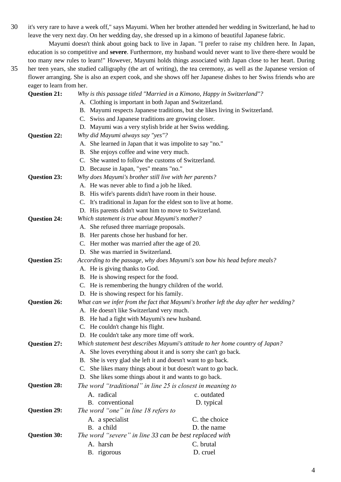30 it's very rare to have a week off," says Mayumi. When her brother attended her wedding in Switzerland, he had to leave the very next day. On her wedding day, she dressed up in a kimono of beautiful Japanese fabric.

Mayumi doesn't think about going back to live in Japan. "I prefer to raise my children here. In Japan, education is so competitive and **severe**. Furthermore, my husband would never want to live there-there would be too many new rules to learn!" However, Mayumi holds things associated with Japan close to her heart. During

35 her teen years, she studied calligraphy (the art of writing), the tea ceremony, as well as the Japanese version of flower arranging. She is also an expert cook, and she shows off her Japanese dishes to her Swiss friends who are eager to learn from her.

| <b>Question 21:</b> | Why is this passage titled "Married in a Kimono, Happy in Switzerland"?               |                                                                                |  |  |
|---------------------|---------------------------------------------------------------------------------------|--------------------------------------------------------------------------------|--|--|
|                     | A. Clothing is important in both Japan and Switzerland.                               |                                                                                |  |  |
|                     | B. Mayumi respects Japanese traditions, but she likes living in Switzerland.          |                                                                                |  |  |
|                     | C. Swiss and Japanese traditions are growing closer.                                  |                                                                                |  |  |
|                     | D. Mayumi was a very stylish bride at her Swiss wedding.                              |                                                                                |  |  |
| <b>Question 22:</b> | Why did Mayumi always say "yes"?                                                      |                                                                                |  |  |
|                     | A. She learned in Japan that it was impolite to say "no."                             |                                                                                |  |  |
|                     | B. She enjoys coffee and wine very much.                                              |                                                                                |  |  |
|                     | C. She wanted to follow the customs of Switzerland.                                   |                                                                                |  |  |
|                     | D. Because in Japan, "yes" means "no."                                                |                                                                                |  |  |
| <b>Question 23:</b> | Why does Mayumi's brother still live with her parents?                                |                                                                                |  |  |
|                     | A. He was never able to find a job he liked.                                          |                                                                                |  |  |
|                     | B. His wife's parents didn't have room in their house.                                |                                                                                |  |  |
|                     |                                                                                       | C. It's traditional in Japan for the eldest son to live at home.               |  |  |
|                     | D. His parents didn't want him to move to Switzerland.                                |                                                                                |  |  |
| <b>Question 24:</b> | Which statement is true about Mayumi's mother?                                        |                                                                                |  |  |
|                     | A. She refused three marriage proposals.                                              |                                                                                |  |  |
|                     | B. Her parents chose her husband for her.                                             |                                                                                |  |  |
|                     | C. Her mother was married after the age of 20.                                        |                                                                                |  |  |
|                     | D. She was married in Switzerland.                                                    |                                                                                |  |  |
| <b>Question 25:</b> | According to the passage, why does Mayumi's son bow his head before meals?            |                                                                                |  |  |
|                     | A. He is giving thanks to God.                                                        |                                                                                |  |  |
|                     | B. He is showing respect for the food.                                                |                                                                                |  |  |
|                     | C. He is remembering the hungry children of the world.                                |                                                                                |  |  |
|                     | D. He is showing respect for his family.                                              |                                                                                |  |  |
| <b>Question 26:</b> | What can we infer from the fact that Mayumi's brother left the day after her wedding? |                                                                                |  |  |
|                     | A. He doesn't like Switzerland very much.                                             |                                                                                |  |  |
|                     | B. He had a fight with Mayumi's new husband.                                          |                                                                                |  |  |
|                     | C. He couldn't change his flight.                                                     |                                                                                |  |  |
|                     |                                                                                       | D. He couldn't take any more time off work.                                    |  |  |
| <b>Question 27:</b> |                                                                                       | Which statement best describes Mayumi's attitude to her home country of Japan? |  |  |
|                     |                                                                                       | A. She loves everything about it and is sorry she can't go back.               |  |  |
|                     | She is very glad she left it and doesn't want to go back.<br><b>B.</b>                |                                                                                |  |  |
|                     | She likes many things about it but doesn't want to go back.<br>C.                     |                                                                                |  |  |
|                     | D. She likes some things about it and wants to go back.                               |                                                                                |  |  |
| Question 28:        |                                                                                       | The word "traditional" in line 25 is closest in meaning to                     |  |  |
|                     | A. radical                                                                            | c. outdated                                                                    |  |  |
|                     | B. conventional                                                                       | D. typical                                                                     |  |  |
| <b>Question 29:</b> | The word "one" in line 18 refers to                                                   |                                                                                |  |  |
|                     | A. a specialist                                                                       | C. the choice                                                                  |  |  |
|                     | B. a child                                                                            | D. the name                                                                    |  |  |
| <b>Question 30:</b> | The word "severe" in line 33 can be best replaced with                                |                                                                                |  |  |
|                     | A. harsh                                                                              | C. brutal                                                                      |  |  |
|                     | B. rigorous                                                                           | D. cruel                                                                       |  |  |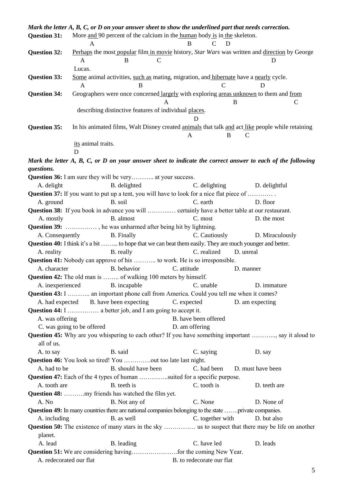|                         | Mark the letter A, B, C, or D on your answer sheet to show the underlined part that needs correction.             |                     |                           |                   |                   |  |
|-------------------------|-------------------------------------------------------------------------------------------------------------------|---------------------|---------------------------|-------------------|-------------------|--|
| <b>Question 31:</b>     | More and 90 percent of the calcium in the human body is in the skeleton.                                          |                     |                           |                   |                   |  |
|                         | A                                                                                                                 |                     | B                         | $\mathsf{C}$<br>D |                   |  |
| <b>Question 32:</b>     | Perhaps the most popular film in movie history, Star Wars was written and direction by George<br>B<br>A<br>Lucas. | C                   |                           |                   | Ð                 |  |
| <b>Question 33:</b>     | Some animal activities, such as mating, migration, and hibernate have a nearly cycle.                             |                     |                           |                   |                   |  |
|                         | A                                                                                                                 | B                   |                           | $\mathcal{C}$     | D                 |  |
| <b>Question 34:</b>     | Geographers were once concerned largely with exploring areas unknown to them and from                             |                     |                           |                   |                   |  |
|                         |                                                                                                                   |                     |                           | B                 | C                 |  |
|                         | describing distinctive features of individual places.                                                             |                     |                           |                   |                   |  |
|                         |                                                                                                                   |                     | D                         |                   |                   |  |
| <b>Question 35:</b>     | In his animated films, Walt Disney created animals that talk and act like people while retaining                  |                     |                           |                   |                   |  |
|                         |                                                                                                                   |                     | A                         | <sub>B</sub>      | C                 |  |
|                         | its animal traits.                                                                                                |                     |                           |                   |                   |  |
|                         | D                                                                                                                 |                     |                           |                   |                   |  |
|                         | Mark the letter A, B, C, or D on your answer sheet to indicate the correct answer to each of the following        |                     |                           |                   |                   |  |
| questions.              |                                                                                                                   |                     |                           |                   |                   |  |
|                         | <b>Question 36:</b> I am sure they will be very at your success.                                                  |                     |                           |                   |                   |  |
| A. delight              | B. delighted                                                                                                      |                     | C. delighting             |                   | D. delightful     |  |
|                         | <b>Question 37:</b> If you want to put up a tent, you will have to look for a nice flat piece of                  |                     |                           |                   |                   |  |
| A. ground               | B. soil                                                                                                           |                     | C. earth                  |                   | D. floor          |  |
|                         | <b>Question 38:</b> If you book in advance you will  certainly have a better table at our restaurant.             |                     |                           |                   |                   |  |
| A. mostly               | B. almost                                                                                                         |                     | C. most                   |                   | D. the most       |  |
|                         | <b>Question 39:</b> , he was unharmed after being hit by lightning.                                               |                     |                           |                   |                   |  |
| A. Consequently         | <b>B.</b> Finally                                                                                                 |                     | C. Cautiously             |                   | D. Miraculously   |  |
|                         | <b>Question 40:</b> I think it's a bit  to hope that we can beat them easily. They are much younger and better.   |                     |                           |                   |                   |  |
| A. reality              | B. really                                                                                                         |                     | C. realized               |                   | D. unreal         |  |
|                         | <b>Question 41:</b> Nobody can approve of his  to work. He is so irresponsible.                                   |                     |                           |                   |                   |  |
| A. character            | B. behavior                                                                                                       |                     | C. attitude               |                   | D. manner         |  |
|                         | <b>Question 42:</b> The old man is  of walking 100 meters by himself.                                             |                     |                           |                   |                   |  |
|                         | A. inexperienced<br>B. incapable                                                                                  |                     | C. unable                 |                   | D. immature       |  |
|                         | Question 43: I  an important phone call from America. Could you tell me when it comes?                            |                     |                           |                   |                   |  |
|                         | A. had expected B. have been expecting                                                                            |                     | C. expected               |                   | D. am expecting   |  |
| A. was offering         |                                                                                                                   |                     | B. have been offered      |                   |                   |  |
|                         | C. was going to be offered                                                                                        |                     | D. am offering            |                   |                   |  |
|                         | <b>Question 45:</b> Why are you whispering to each other? If you have something important , say it aloud to       |                     |                           |                   |                   |  |
| all of us.              |                                                                                                                   |                     |                           |                   |                   |  |
| A. to say               | B. said                                                                                                           |                     | C. saying                 |                   | D. say            |  |
|                         | <b>Question 46:</b> You look so tired! You out too late last night.                                               |                     |                           |                   |                   |  |
| A. had to be            |                                                                                                                   | B. should have been | C. had been               |                   | D. must have been |  |
|                         | <b>Question 47:</b> Each of the 4 types of human suited for a specific purpose.                                   |                     |                           |                   |                   |  |
| A. tooth are            | B. teeth is                                                                                                       |                     | C. tooth is               |                   | D. teeth are      |  |
|                         | Question 48: my friends has watched the film yet.                                                                 |                     |                           |                   |                   |  |
| A. No                   | B. Not any of                                                                                                     |                     | C. None                   |                   | D. None of        |  |
|                         | Question 49: In many countries there are national companies belonging to the state private companies.             |                     |                           |                   |                   |  |
| A. including            | B. as well                                                                                                        |                     |                           | C. together with  | D. but also       |  |
|                         | <b>Question 50:</b> The existence of many stars in the sky  us to suspect that there may be life on another       |                     |                           |                   |                   |  |
| planet.                 |                                                                                                                   |                     |                           |                   |                   |  |
| A. lead                 | B. leading                                                                                                        |                     | C. have led               |                   | D. leads          |  |
|                         |                                                                                                                   |                     |                           |                   |                   |  |
| A. redecorated our flat |                                                                                                                   |                     | B. to redecorate our flat |                   |                   |  |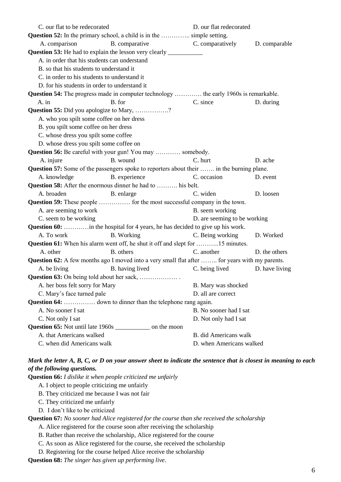| C. our flat to be redecorated            |                                                                                                       | D. our flat redecorated      |                |
|------------------------------------------|-------------------------------------------------------------------------------------------------------|------------------------------|----------------|
|                                          | <b>Question 52:</b> In the primary school, a child is in the  simple setting.                         |                              |                |
| A. comparison                            | B. comparative                                                                                        | C. comparatively             | D. comparable  |
|                                          |                                                                                                       |                              |                |
|                                          | A. in order that his students can understand                                                          |                              |                |
| B. so that his students to understand it |                                                                                                       |                              |                |
|                                          | C. in order to his students to understand it                                                          |                              |                |
|                                          | D. for his students in order to understand it                                                         |                              |                |
|                                          | <b>Question 54:</b> The progress made in computer technology  the early 1960s is remarkable.          |                              |                |
| A. in                                    | B. for                                                                                                | C. since                     | D. during      |
|                                          | Question 55: Did you apologize to Mary, ?                                                             |                              |                |
|                                          | A. who you spilt some coffee on her dress                                                             |                              |                |
| B. you spilt some coffee on her dress    |                                                                                                       |                              |                |
| C. whose dress you spilt some coffee     |                                                                                                       |                              |                |
|                                          | D. whose dress you spilt some coffee on                                                               |                              |                |
|                                          | Question 56: Be careful with your gun! You may  somebody.                                             |                              |                |
| A. injure                                | B. wound                                                                                              | C. hurt                      | D. ache        |
|                                          | Question 57: Some of the passengers spoke to reporters about their  in the burning plane.             |                              |                |
| A. knowledge                             | B. experience                                                                                         | C. occasion                  | D. event       |
|                                          | <b>Question 58:</b> After the enormous dinner he had to  his belt.                                    |                              |                |
| A. broaden                               | B. enlarge                                                                                            | C. widen                     | D. loosen      |
|                                          | <b>Question 59:</b> These people  for the most successful company in the town.                        |                              |                |
| A. are seeming to work                   |                                                                                                       | B. seem working              |                |
| C. seem to be working                    |                                                                                                       | D. are seeming to be working |                |
|                                          | <b>Question 60:</b> in the hospital for 4 years, he has decided to give up his work.                  |                              |                |
| A. To work                               | <b>B.</b> Working                                                                                     | C. Being working             | D. Worked      |
|                                          | <b>Question 61:</b> When his alarm went off, he shut it off and slept for 15 minutes.                 |                              |                |
| A. other                                 | B. others                                                                                             | C. another                   | D. the others  |
|                                          | <b>Question 62:</b> A few months ago I moved into a very small flat after  for years with my parents. |                              |                |
| A. be living                             | <b>B.</b> having lived                                                                                | C. being lived               | D. have living |
|                                          |                                                                                                       |                              |                |
| A. her boss felt sorry for Mary          |                                                                                                       | B. Mary was shocked          |                |
| C. Mary's face turned pale               |                                                                                                       | D. all are correct           |                |
|                                          | <b>Question 64:</b> down to dinner than the telephone rang again.                                     |                              |                |
| A. No sooner I sat                       |                                                                                                       | B. No sooner had I sat       |                |
| C. Not only I sat                        |                                                                                                       | D. Not only had I sat        |                |
|                                          | Question 65: Not until late 1960s ______________ on the moon                                          |                              |                |
| A. that Americans walked                 |                                                                                                       | <b>B.</b> did Americans walk |                |
| C. when did Americans walk               |                                                                                                       | D. when Americans walked     |                |

# *Mark the letter A, B, C, or D on your answer sheet to indicate the sentence that is closest in meaning to each of the following questions.*

**Question 66:** *I dislike it when people criticized me unfairly*

- A. I object to people criticizing me unfairly
- B. They criticized me because I was not fair
- C. They criticized me unfairly
- D. I don't like to be criticized

**Question 67:** *No sooner had Alice registered for the course than she received the scholarship*

- A. Alice registered for the course soon after receiving the scholarship
- B. Rather than receive the scholarship, Alice registered for the course
- C. As soon as Alice registered for the course, she received the scholarship
- D. Registering for the course helped Alice receive the scholarship

**Question 68:** *The singer has given up performing live*.